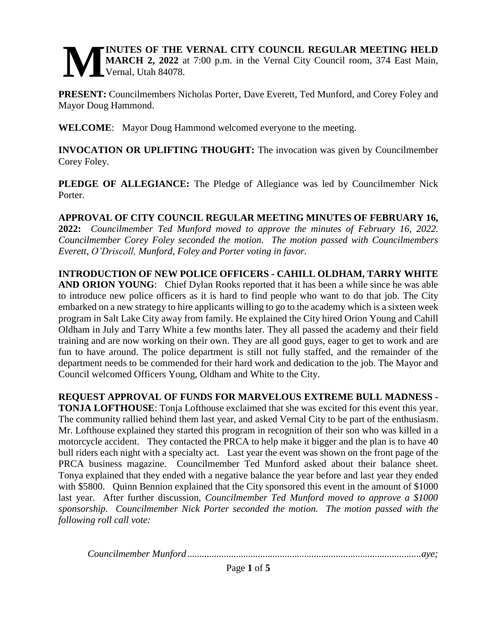#### **INUTES OF THE VERNAL CITY COUNCIL REGULAR MEETING HELD MARCH 2, 2022** at 7:00 p.m. in the Vernal City Council room, 374 East Main, Vernal, Utah 84078. **M**

**PRESENT:** Councilmembers Nicholas Porter, Dave Everett, Ted Munford, and Corey Foley and Mayor Doug Hammond.

**WELCOME**: Mayor Doug Hammond welcomed everyone to the meeting.

**INVOCATION OR UPLIFTING THOUGHT:** The invocation was given by Councilmember Corey Foley.

**PLEDGE OF ALLEGIANCE:** The Pledge of Allegiance was led by Councilmember Nick Porter.

**APPROVAL OF CITY COUNCIL REGULAR MEETING MINUTES OF FEBRUARY 16, 2022:** *Councilmember Ted Munford moved to approve the minutes of February 16, 2022. Councilmember Corey Foley seconded the motion. The motion passed with Councilmembers Everett, O'Driscoll, Munford, Foley and Porter voting in favor.* 

**INTRODUCTION OF NEW POLICE OFFICERS - CAHILL OLDHAM, TARRY WHITE AND ORION YOUNG**: Chief Dylan Rooks reported that it has been a while since he was able to introduce new police officers as it is hard to find people who want to do that job. The City embarked on a new strategy to hire applicants willing to go to the academy which is a sixteen week program in Salt Lake City away from family. He explained the City hired Orion Young and Cahill Oldham in July and Tarry White a few months later. They all passed the academy and their field training and are now working on their own. They are all good guys, eager to get to work and are fun to have around. The police department is still not fully staffed, and the remainder of the department needs to be commended for their hard work and dedication to the job. The Mayor and Council welcomed Officers Young, Oldham and White to the City.

**REQUEST APPROVAL OF FUNDS FOR MARVELOUS EXTREME BULL MADNESS - TONJA LOFTHOUSE**: Tonja Lofthouse exclaimed that she was excited for this event this year. The community rallied behind them last year, and asked Vernal City to be part of the enthusiasm. Mr. Lofthouse explained they started this program in recognition of their son who was killed in a motorcycle accident. They contacted the PRCA to help make it bigger and the plan is to have 40 bull riders each night with a specialty act. Last year the event was shown on the front page of the PRCA business magazine. Councilmember Ted Munford asked about their balance sheet. Tonya explained that they ended with a negative balance the year before and last year they ended with \$5800. Quinn Bennion explained that the City sponsored this event in the amount of \$1000 last year. After further discussion, *Councilmember Ted Munford moved to approve a \$1000 sponsorship. Councilmember Nick Porter seconded the motion. The motion passed with the following roll call vote:*

*Councilmember Munford ................................................................................................aye;*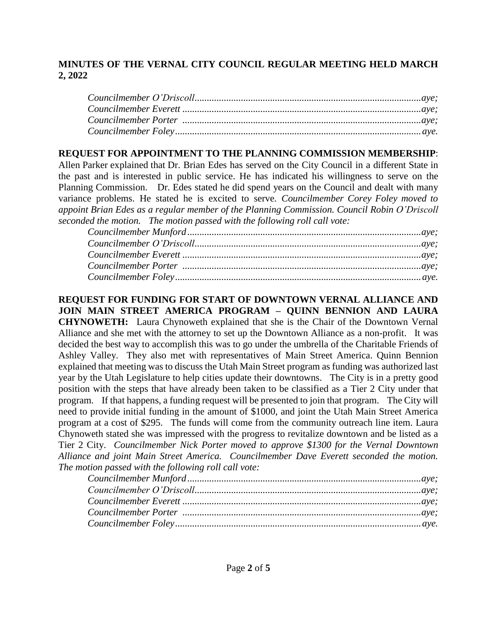# **REQUEST FOR APPOINTMENT TO THE PLANNING COMMISSION MEMBERSHIP**:

Allen Parker explained that Dr. Brian Edes has served on the City Council in a different State in the past and is interested in public service. He has indicated his willingness to serve on the Planning Commission. Dr. Edes stated he did spend years on the Council and dealt with many variance problems. He stated he is excited to serve. *Councilmember Corey Foley moved to appoint Brian Edes as a regular member of the Planning Commission. Council Robin O'Driscoll seconded the motion. The motion passed with the following roll call vote:* 

**REQUEST FOR FUNDING FOR START OF DOWNTOWN VERNAL ALLIANCE AND JOIN MAIN STREET AMERICA PROGRAM – QUINN BENNION AND LAURA CHYNOWETH:** Laura Chynoweth explained that she is the Chair of the Downtown Vernal Alliance and she met with the attorney to set up the Downtown Alliance as a non-profit. It was decided the best way to accomplish this was to go under the umbrella of the Charitable Friends of Ashley Valley. They also met with representatives of Main Street America. Quinn Bennion explained that meeting was to discuss the Utah Main Street program as funding was authorized last year by the Utah Legislature to help cities update their downtowns. The City is in a pretty good position with the steps that have already been taken to be classified as a Tier 2 City under that program. If that happens, a funding request will be presented to join that program. The City will need to provide initial funding in the amount of \$1000, and joint the Utah Main Street America program at a cost of \$295. The funds will come from the community outreach line item. Laura Chynoweth stated she was impressed with the progress to revitalize downtown and be listed as a Tier 2 City. *Councilmember Nick Porter moved to approve \$1300 for the Vernal Downtown Alliance and joint Main Street America. Councilmember Dave Everett seconded the motion. The motion passed with the following roll call vote:*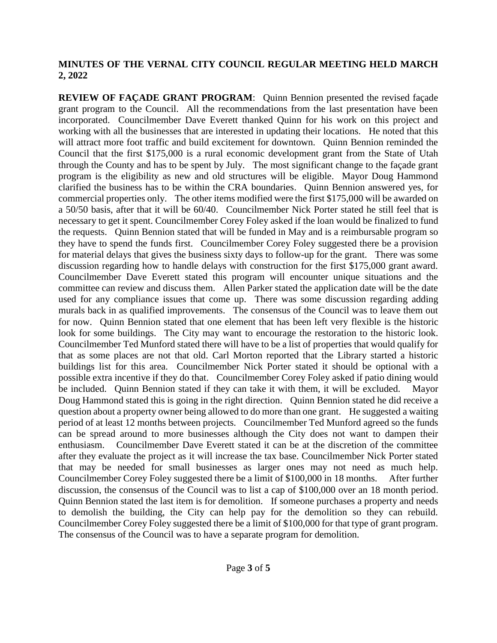**REVIEW OF FAÇADE GRANT PROGRAM:** Quinn Bennion presented the revised façade grant program to the Council. All the recommendations from the last presentation have been incorporated. Councilmember Dave Everett thanked Quinn for his work on this project and working with all the businesses that are interested in updating their locations. He noted that this will attract more foot traffic and build excitement for downtown. Quinn Bennion reminded the Council that the first \$175,000 is a rural economic development grant from the State of Utah through the County and has to be spent by July. The most significant change to the façade grant program is the eligibility as new and old structures will be eligible. Mayor Doug Hammond clarified the business has to be within the CRA boundaries. Quinn Bennion answered yes, for commercial properties only. The other items modified were the first \$175,000 will be awarded on a 50/50 basis, after that it will be 60/40. Councilmember Nick Porter stated he still feel that is necessary to get it spent. Councilmember Corey Foley asked if the loan would be finalized to fund the requests. Quinn Bennion stated that will be funded in May and is a reimbursable program so they have to spend the funds first. Councilmember Corey Foley suggested there be a provision for material delays that gives the business sixty days to follow-up for the grant. There was some discussion regarding how to handle delays with construction for the first \$175,000 grant award. Councilmember Dave Everett stated this program will encounter unique situations and the committee can review and discuss them. Allen Parker stated the application date will be the date used for any compliance issues that come up. There was some discussion regarding adding murals back in as qualified improvements. The consensus of the Council was to leave them out for now. Quinn Bennion stated that one element that has been left very flexible is the historic look for some buildings. The City may want to encourage the restoration to the historic look. Councilmember Ted Munford stated there will have to be a list of properties that would qualify for that as some places are not that old. Carl Morton reported that the Library started a historic buildings list for this area. Councilmember Nick Porter stated it should be optional with a possible extra incentive if they do that. Councilmember Corey Foley asked if patio dining would be included. Quinn Bennion stated if they can take it with them, it will be excluded. Mayor Doug Hammond stated this is going in the right direction. Quinn Bennion stated he did receive a question about a property owner being allowed to do more than one grant. He suggested a waiting period of at least 12 months between projects. Councilmember Ted Munford agreed so the funds can be spread around to more businesses although the City does not want to dampen their enthusiasm. Councilmember Dave Everett stated it can be at the discretion of the committee after they evaluate the project as it will increase the tax base. Councilmember Nick Porter stated that may be needed for small businesses as larger ones may not need as much help. Councilmember Corey Foley suggested there be a limit of \$100,000 in 18 months. After further discussion, the consensus of the Council was to list a cap of \$100,000 over an 18 month period. Quinn Bennion stated the last item is for demolition. If someone purchases a property and needs to demolish the building, the City can help pay for the demolition so they can rebuild. Councilmember Corey Foley suggested there be a limit of \$100,000 for that type of grant program. The consensus of the Council was to have a separate program for demolition.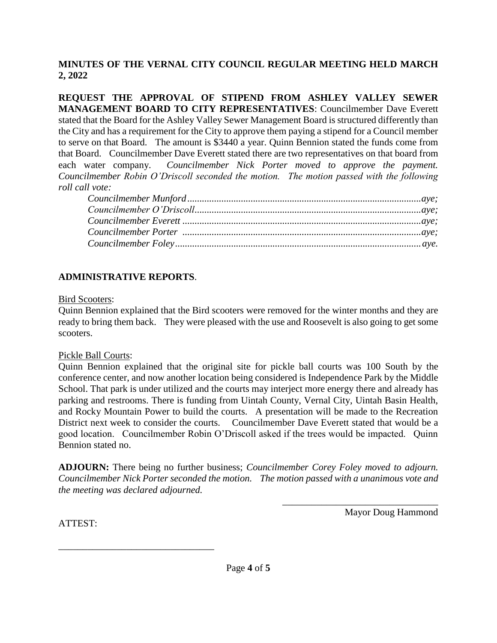**REQUEST THE APPROVAL OF STIPEND FROM ASHLEY VALLEY SEWER MANAGEMENT BOARD TO CITY REPRESENTATIVES**: Councilmember Dave Everett stated that the Board for the Ashley Valley Sewer Management Board is structured differently than the City and has a requirement for the City to approve them paying a stipend for a Council member to serve on that Board. The amount is \$3440 a year. Quinn Bennion stated the funds come from that Board. Councilmember Dave Everett stated there are two representatives on that board from each water company. *Councilmember Nick Porter moved to approve the payment. Councilmember Robin O'Driscoll seconded the motion. The motion passed with the following roll call vote:* 

### **ADMINISTRATIVE REPORTS**.

\_\_\_\_\_\_\_\_\_\_\_\_\_\_\_\_\_\_\_\_\_\_\_\_\_\_\_\_\_\_\_\_

#### Bird Scooters:

Quinn Bennion explained that the Bird scooters were removed for the winter months and they are ready to bring them back. They were pleased with the use and Roosevelt is also going to get some scooters.

#### Pickle Ball Courts:

Quinn Bennion explained that the original site for pickle ball courts was 100 South by the conference center, and now another location being considered is Independence Park by the Middle School. That park is under utilized and the courts may interject more energy there and already has parking and restrooms. There is funding from Uintah County, Vernal City, Uintah Basin Health, and Rocky Mountain Power to build the courts. A presentation will be made to the Recreation District next week to consider the courts. Councilmember Dave Everett stated that would be a good location. Councilmember Robin O'Driscoll asked if the trees would be impacted. Quinn Bennion stated no.

**ADJOURN:** There being no further business; *Councilmember Corey Foley moved to adjourn. Councilmember Nick Porter seconded the motion. The motion passed with a unanimous vote and the meeting was declared adjourned.* 

Mayor Doug Hammond

\_\_\_\_\_\_\_\_\_\_\_\_\_\_\_\_\_\_\_\_\_\_\_\_\_\_\_\_\_\_\_\_

ATTEST: